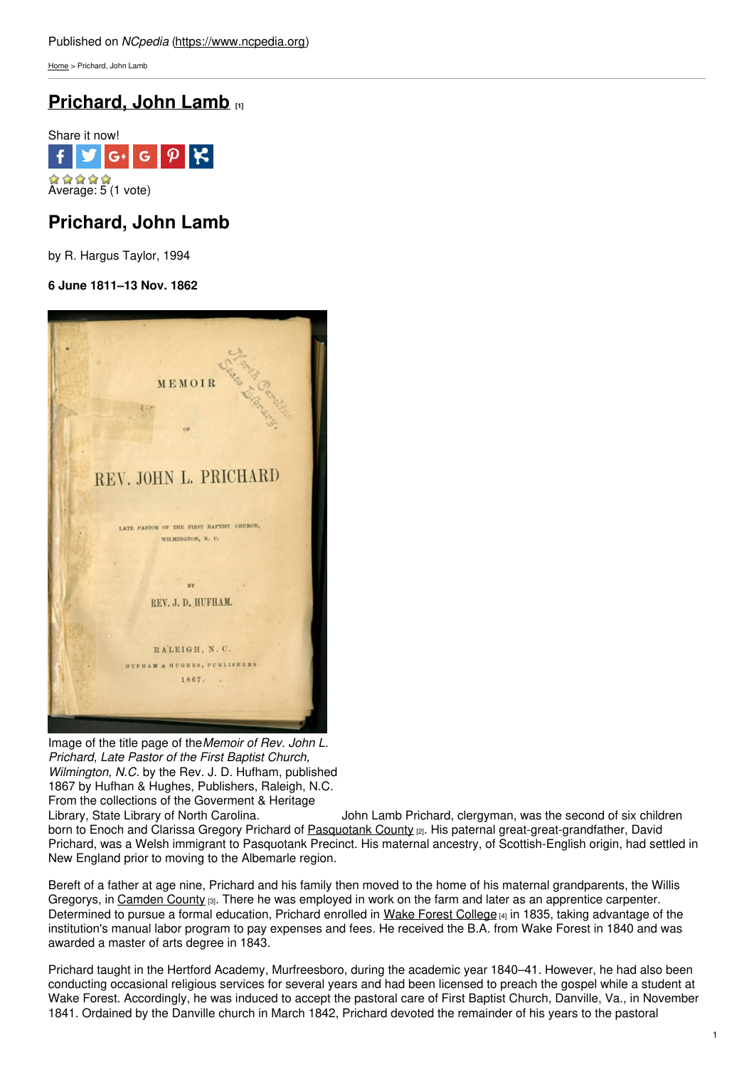[Home](https://www.ncpedia.org/) > Prichard, John Lamb

# **[Prichard,](https://www.ncpedia.org/biography/prichard-john-lamb) John Lamb [1]**



## **Prichard, John Lamb**

by R. Hargus Taylor, 1994

### **6 June 1811–13 Nov. 1862**



Image of the title page of the*Memoir of Rev. John L. Prichard, Late Pastor of the First Baptist Church, Wilmington, N.C.* by the Rev. J. D. Hufham, published 1867 by Hufhan & Hughes, Publishers, Raleigh, N.C. From the collections of the Goverment & Heritage<br>Library, State Library of North Carolina.

John Lamb Prichard, clergyman, was the second of six children born to Enoch and Clarissa Gregory Prichard of [Pasquotank](https://www.ncpedia.org/geography/pasquotank) County [2]. His paternal great-great-grandfather, David Prichard, was a Welsh immigrant to Pasquotank Precinct. His maternal ancestry, of Scottish-English origin, had settled in New England prior to moving to the Albemarle region.

Bereft of a father at age nine, Prichard and his family then moved to the home of his maternal grandparents, the Willis Gregorys, in [Camden](https://www.ncpedia.org/geography/camden) County  $\alpha$ . There he was employed in work on the farm and later as an apprentice carpenter. Determined to pursue a formal education, Prichard enrolled in Wake Forest [College](https://www.ncpedia.org/wake-forest-university)  $[4]$  in 1835, taking advantage of the institution's manual labor program to pay expenses and fees. He received the B.A. from Wake Forest in 1840 and was awarded a master of arts degree in 1843.

Prichard taught in the Hertford Academy, Murfreesboro, during the academic year 1840–41. However, he had also been conducting occasional religious services for several years and had been licensed to preach the gospel while a student at Wake Forest. Accordingly, he was induced to accept the pastoral care of First Baptist Church, Danville, Va., in November 1841. Ordained by the Danville church in March 1842, Prichard devoted the remainder of his years to the pastoral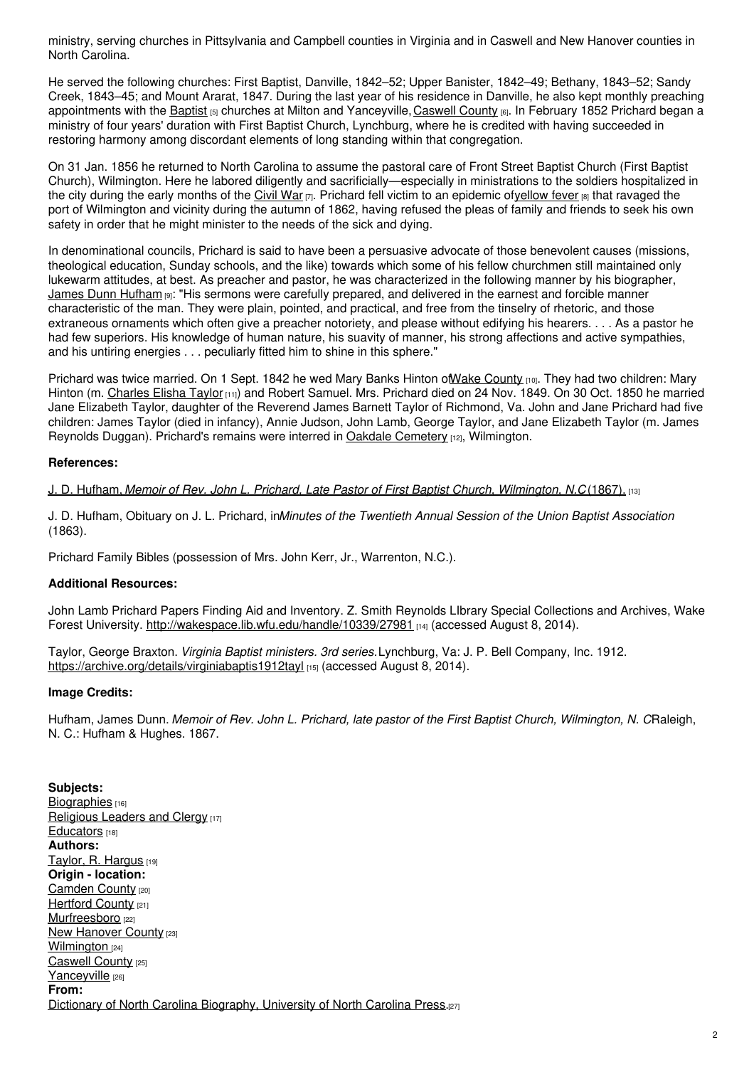ministry, serving churches in Pittsylvania and Campbell counties in Virginia and in Caswell and New Hanover counties in North Carolina.

He served the following churches: First Baptist, Danville, 1842–52; Upper Banister, 1842–49; Bethany, 1843–52; Sandy Creek, 1843–45; and Mount Ararat, 1847. During the last year of his residence in Danville, he also kept monthly preaching appointments with the **[Baptist](https://www.ncpedia.org/baptists) [5]** churches at Milton and Yanceyville, [Caswell](https://www.ncpedia.org/geography/caswell) County [6]. In February 1852 Prichard began a ministry of four years' duration with First Baptist Church, Lynchburg, where he is credited with having succeeded in restoring harmony among discordant elements of long standing within that congregation.

On 31 Jan. 1856 he returned to North Carolina to assume the pastoral care of Front Street Baptist Church (First Baptist Church), Wilmington. Here he labored diligently and sacrificially—especially in ministrations to the soldiers hospitalized in the city during the early months of the [Civil](https://www.ncpedia.org/history/cw-1900/civil-war) War  $\eta$ . Prichard fell victim to an epidemic of[yellow](https://www.ncpedia.org/history/health/yellow-fever) fever  $\eta$  that ravaged the port of Wilmington and vicinity during the autumn of 1862, having refused the pleas of family and friends to seek his own safety in order that he might minister to the needs of the sick and dying.

In denominational councils, Prichard is said to have been a persuasive advocate of those benevolent causes (missions, theological education, Sunday schools, and the like) towards which some of his fellow churchmen still maintained only lukewarm attitudes, at best. As preacher and pastor, he was characterized in the following manner by his biographer, James Dunn [Hufham](https://www.ncpedia.org/biography/hufham-james-dunn) [9]: "His sermons were carefully prepared, and delivered in the earnest and forcible manner characteristic of the man. They were plain, pointed, and practical, and free from the tinselry of rhetoric, and those extraneous ornaments which often give a preacher notoriety, and please without edifying his hearers. . . . As a pastor he had few superiors. His knowledge of human nature, his suavity of manner, his strong affections and active sympathies, and his untiring energies . . . peculiarly fitted him to shine in this sphere."

Prichard was twice married. On 1 Sept. 1842 he wed Mary Banks Hinton of Wake [County](https://www.ncpedia.org/geography/wake) [10]. They had two children: Mary Hinton (m. [Charles](https://www.ncpedia.org/biography/taylor-charles-elisha) Elisha Taylor [11]) and Robert Samuel. Mrs. Prichard died on 24 Nov. 1849. On 30 Oct. 1850 he married Jane Elizabeth Taylor, daughter of the Reverend James Barnett Taylor of Richmond, Va. John and Jane Prichard had five children: James Taylor (died in infancy), Annie Judson, John Lamb, George Taylor, and Jane Elizabeth Taylor (m. James Reynolds Duggan). Prichard's remains were interred in Oakdale [Cemetery](https://www.ncpedia.org/oakdale-cemetery) [12], Wilmington.

### **References:**

J. D. Hufham, *Memoir of Rev. John L. Prichard, Late Pastor of First Baptist Church, [Wilmington,](https://archive.org/details/memoirofrevjohn00hufh) N.C*. (1867). [13]

J. D. Hufham, Obituary on J. L. Prichard, in*Minutes of the Twentieth Annual Session of the Union Baptist Association* (1863).

Prichard Family Bibles (possession of Mrs. John Kerr, Jr., Warrenton, N.C.).

### **Additional Resources:**

John Lamb Prichard Papers Finding Aid and Inventory. Z. Smith Reynolds LIbrary Special Collections and Archives, Wake Forest University. <http://wakespace.lib.wfu.edu/handle/10339/27981> [14] (accessed August 8, 2014).

Taylor, George Braxton. *Virginia Baptist ministers. 3rd series.*Lynchburg, Va: J. P. Bell Company, Inc. 1912. <https://archive.org/details/virginiabaptis1912tayl> [15] (accessed August 8, 2014).

### **Image Credits:**

Hufham, James Dunn. Memoir of Rev. John L. Prichard, late pastor of the First Baptist Church, Wilmington, N. CRaleigh, N. C.: Hufham & Hughes. 1867.

**Subjects:** [Biographies](https://www.ncpedia.org/category/subjects/biography-term) [16] [Religious](https://www.ncpedia.org/category/subjects/clergy) Leaders and Clergy [17] [Educators](https://www.ncpedia.org/category/subjects/educators) [18] **Authors:** Taylor, R. [Hargus](https://www.ncpedia.org/category/authors/taylor-r-hargus) [19] **Origin - location:** [Camden](https://www.ncpedia.org/category/origin-location/coastal-35) County [20] [Hertford](https://www.ncpedia.org/category/origin-location/coastal-32) County [21] [Murfreesboro](https://www.ncpedia.org/category/origin-location/coastal-57) [22] **New [Hanover](https://www.ncpedia.org/category/origin-location/coastal--7) County [23]** [Wilmington](https://www.ncpedia.org/category/origin-location/coastal-39) [24] [Caswell](https://www.ncpedia.org/category/origin-location/piedmont/c) County [25] [Yanceyville](https://www.ncpedia.org/category/origin-location-17) [26] **From:** Dictionary of North Carolina [Biography,](https://www.ncpedia.org/category/entry-source/dictionary-no) University of North Carolina Press.[27]